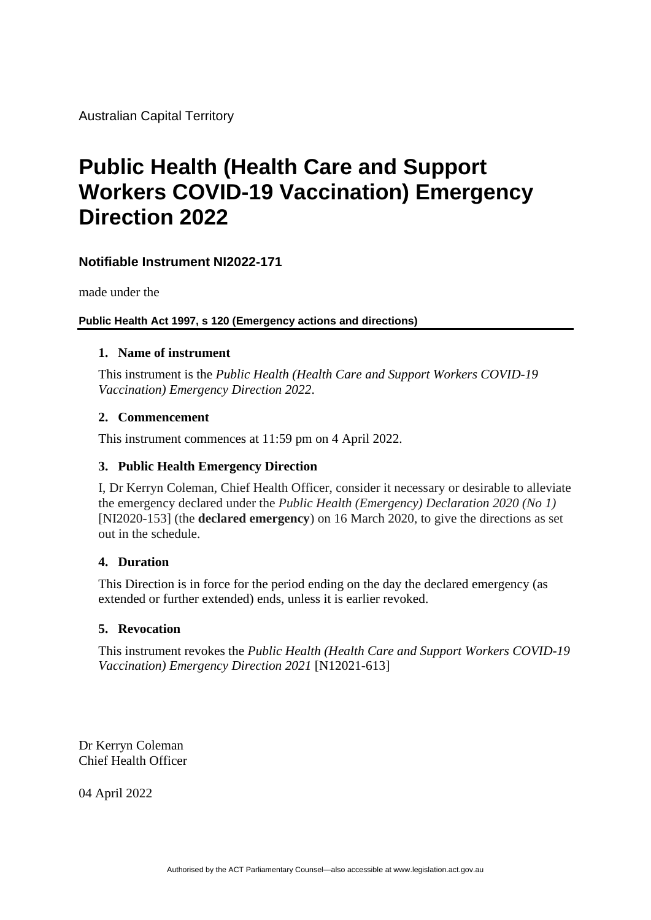Australian Capital Territory

## **Public Health (Health Care and Support Workers COVID-19 Vaccination) Emergency Direction 2022**

### **Notifiable Instrument NI2022-171**

made under the

### **Public Health Act 1997, s 120 (Emergency actions and directions)**

### **1. Name of instrument**

This instrument is the *Public Health (Health Care and Support Workers COVID-19 Vaccination) Emergency Direction 2022*.

### **2. Commencement**

This instrument commences at 11:59 pm on 4 April 2022.

### **3. Public Health Emergency Direction**

I, Dr Kerryn Coleman, Chief Health Officer, consider it necessary or desirable to alleviate the emergency declared under the *Public Health (Emergency) Declaration 2020 (No 1)*  [NI2020-153] (the **declared emergency**) on 16 March 2020, to give the directions as set out in the schedule.

### **4. Duration**

This Direction is in force for the period ending on the day the declared emergency (as extended or further extended) ends, unless it is earlier revoked.

### **5. Revocation**

This instrument revokes the *Public Health (Health Care and Support Workers COVID-19 Vaccination) Emergency Direction 2021* [N12021-613]

Dr Kerryn Coleman Chief Health Officer

04 April 2022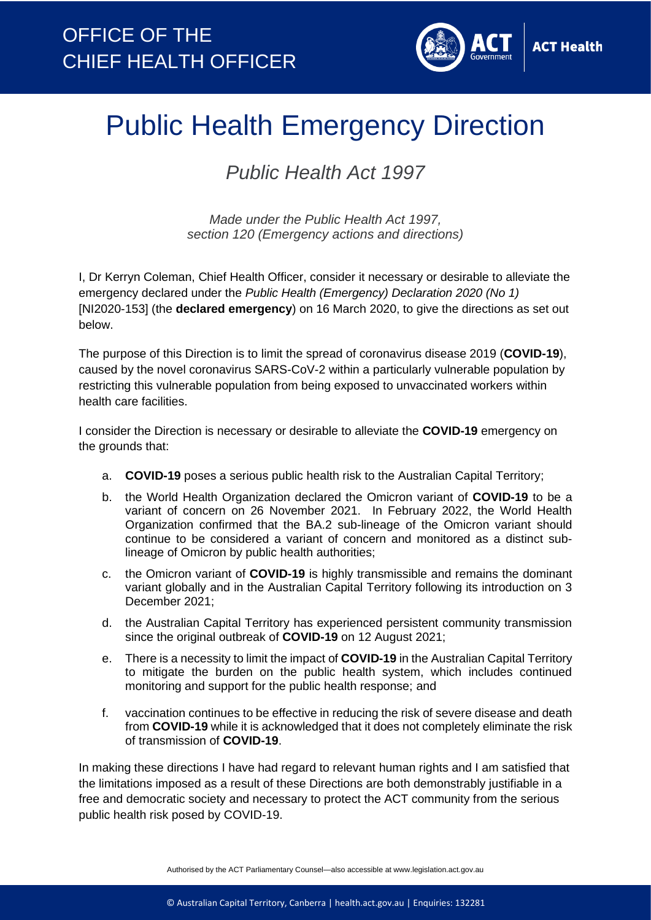

# Public Health Emergency Direction

*Public Health Act 1997*

*Made under the Public Health Act 1997, section 120 (Emergency actions and directions)*

I, Dr Kerryn Coleman, Chief Health Officer, consider it necessary or desirable to alleviate the emergency declared under the *Public Health (Emergency) Declaration 2020 (No 1)*  [NI2020-153] (the **declared emergency**) on 16 March 2020, to give the directions as set out below.

The purpose of this Direction is to limit the spread of coronavirus disease 2019 (**COVID-19**), caused by the novel coronavirus SARS-CoV-2 within a particularly vulnerable population by restricting this vulnerable population from being exposed to unvaccinated workers within health care facilities.

I consider the Direction is necessary or desirable to alleviate the **COVID-19** emergency on the grounds that:

- a. **COVID-19** poses a serious public health risk to the Australian Capital Territory;
- b. the World Health Organization declared the Omicron variant of **COVID-19** to be a variant of concern on 26 November 2021. In February 2022, the World Health Organization confirmed that the BA.2 sub-lineage of the Omicron variant should continue to be considered a variant of concern and monitored as a distinct sublineage of Omicron by public health authorities;
- c. the Omicron variant of **COVID-19** is highly transmissible and remains the dominant variant globally and in the Australian Capital Territory following its introduction on 3 December 2021;
- d. the Australian Capital Territory has experienced persistent community transmission since the original outbreak of **COVID-19** on 12 August 2021;
- e. There is a necessity to limit the impact of **COVID-19** in the Australian Capital Territory to mitigate the burden on the public health system, which includes continued monitoring and support for the public health response; and
- f. vaccination continues to be effective in reducing the risk of severe disease and death from **COVID-19** while it is acknowledged that it does not completely eliminate the risk of transmission of **COVID-19**.

In making these directions I have had regard to relevant human rights and I am satisfied that the limitations imposed as a result of these Directions are both demonstrably justifiable in a free and democratic society and necessary to protect the ACT community from the serious public health risk posed by COVID-19.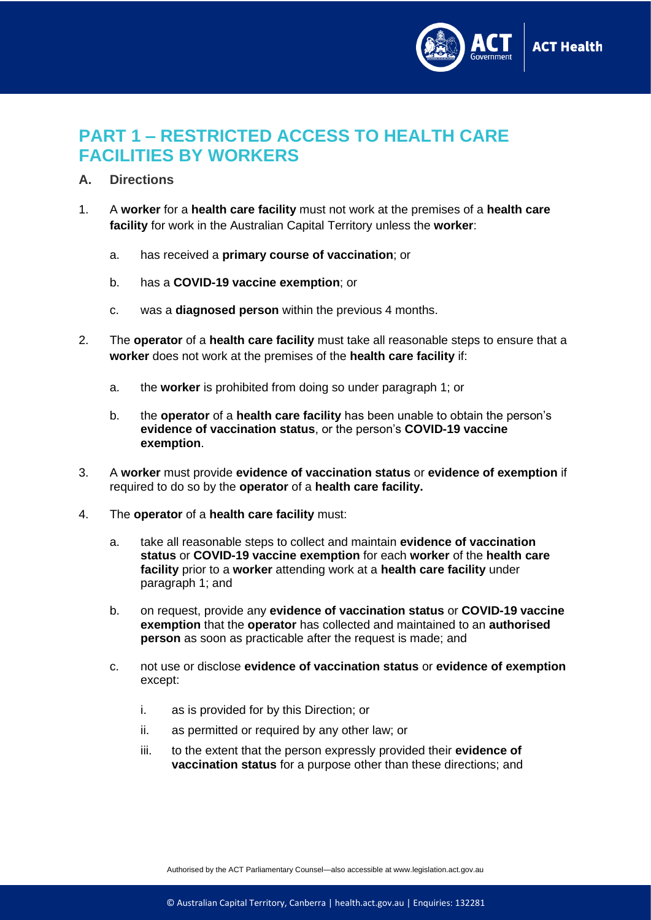

### **PART 1 – RESTRICTED ACCESS TO HEALTH CARE FACILITIES BY WORKERS**

- **A. Directions**
- 1. A **worker** for a **health care facility** must not work at the premises of a **health care facility** for work in the Australian Capital Territory unless the **worker**:
	- a. has received a **primary course of vaccination**; or
	- b. has a **COVID-19 vaccine exemption**; or
	- c. was a **diagnosed person** within the previous 4 months.
- 2. The **operator** of a **health care facility** must take all reasonable steps to ensure that a **worker** does not work at the premises of the **health care facility** if:
	- a. the **worker** is prohibited from doing so under paragraph 1; or
	- b. the **operator** of a **health care facility** has been unable to obtain the person's **evidence of vaccination status**, or the person's **COVID-19 vaccine exemption**.
- 3. A **worker** must provide **evidence of vaccination status** or **evidence of exemption** if required to do so by the **operator** of a **health care facility.**
- 4. The **operator** of a **health care facility** must:
	- a. take all reasonable steps to collect and maintain **evidence of vaccination status** or **COVID-19 vaccine exemption** for each **worker** of the **health care facility** prior to a **worker** attending work at a **health care facility** under paragraph 1; and
	- b. on request, provide any **evidence of vaccination status** or **COVID-19 vaccine exemption** that the **operator** has collected and maintained to an **authorised person** as soon as practicable after the request is made; and
	- c. not use or disclose **evidence of vaccination status** or **evidence of exemption**  except:
		- i. as is provided for by this Direction; or
		- ii. as permitted or required by any other law; or
		- iii. to the extent that the person expressly provided their **evidence of vaccination status** for a purpose other than these directions; and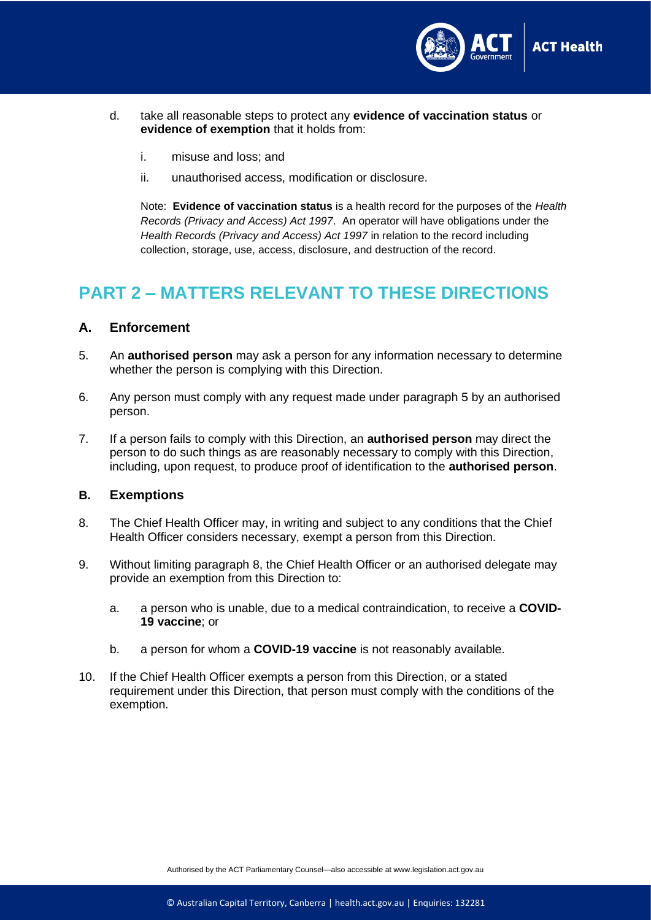

- d. take all reasonable steps to protect any **evidence of vaccination status** or **evidence of exemption** that it holds from:
	- i. misuse and loss; and
	- ii. unauthorised access, modification or disclosure.

Note: **Evidence of vaccination status** is a health record for the purposes of the *Health Records (Privacy and Access) Act 1997*. An operator will have obligations under the *Health Records (Privacy and Access) Act 1997* in relation to the record including collection, storage, use, access, disclosure, and destruction of the record.

### **PART 2 – MATTERS RELEVANT TO THESE DIRECTIONS**

### **A. Enforcement**

- 5. An **authorised person** may ask a person for any information necessary to determine whether the person is complying with this Direction.
- 6. Any person must comply with any request made under paragraph 5 by an authorised person.
- 7. If a person fails to comply with this Direction, an **authorised person** may direct the person to do such things as are reasonably necessary to comply with this Direction, including, upon request, to produce proof of identification to the **authorised person**.

### **B. Exemptions**

- 8. The Chief Health Officer may, in writing and subject to any conditions that the Chief Health Officer considers necessary, exempt a person from this Direction.
- 9. Without limiting paragraph 8, the Chief Health Officer or an authorised delegate may provide an exemption from this Direction to:
	- a. a person who is unable, due to a medical contraindication, to receive a **COVID-19 vaccine**; or
	- b. a person for whom a **COVID-19 vaccine** is not reasonably available.
- 10. If the Chief Health Officer exempts a person from this Direction, or a stated requirement under this Direction, that person must comply with the conditions of the exemption.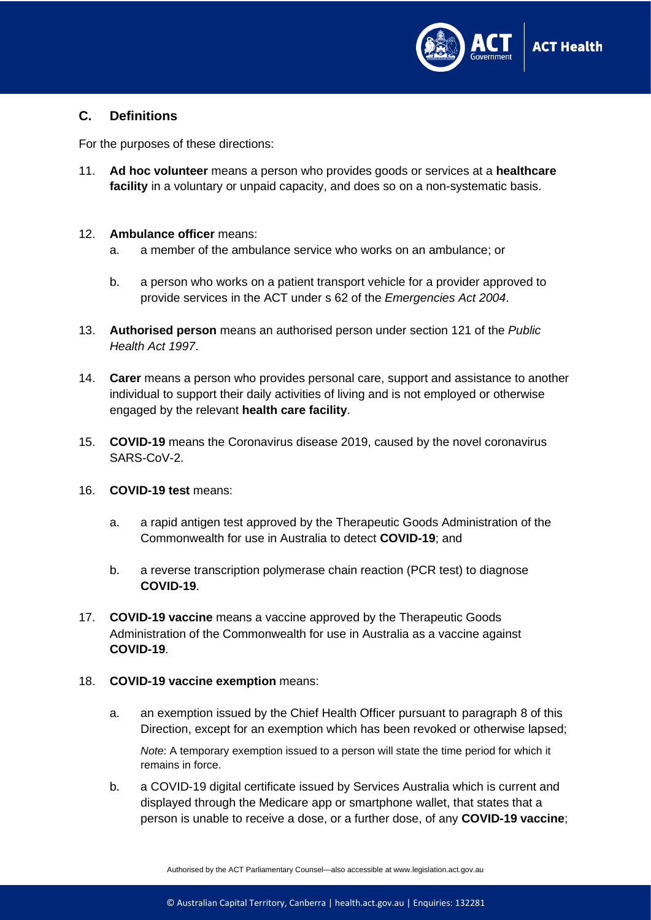

### **C. Definitions**

For the purposes of these directions:

11. **Ad hoc volunteer** means a person who provides goods or services at a **healthcare facility** in a voluntary or unpaid capacity, and does so on a non-systematic basis.

### 12. **Ambulance officer** means:

- a. a member of the ambulance service who works on an ambulance; or
- b. a person who works on a patient transport vehicle for a provider approved to provide services in the ACT under s 62 of the *Emergencies Act 2004*.
- 13. **Authorised person** means an authorised person under section 121 of the *Public Health Act 1997*.
- 14. **Carer** means a person who provides personal care, support and assistance to another individual to support their daily activities of living and is not employed or otherwise engaged by the relevant **health care facility**.
- 15. **COVID-19** means the Coronavirus disease 2019, caused by the novel coronavirus SARS-CoV-2.
- 16. **COVID-19 test** means:
	- a. a rapid antigen test approved by the Therapeutic Goods Administration of the Commonwealth for use in Australia to detect **COVID-19**; and
	- b. a reverse transcription polymerase chain reaction (PCR test) to diagnose **COVID-19**.
- 17. **COVID-19 vaccine** means a vaccine approved by the Therapeutic Goods Administration of the Commonwealth for use in Australia as a vaccine against **COVID-19**.

#### 18. **COVID-19 vaccine exemption** means:

a. an exemption issued by the Chief Health Officer pursuant to paragraph 8 of this Direction, except for an exemption which has been revoked or otherwise lapsed;

*Note*: A temporary exemption issued to a person will state the time period for which it remains in force.

b. a COVID-19 digital certificate issued by Services Australia which is current and displayed through the Medicare app or smartphone wallet, that states that a person is unable to receive a dose, or a further dose, of any **COVID-19 vaccine**;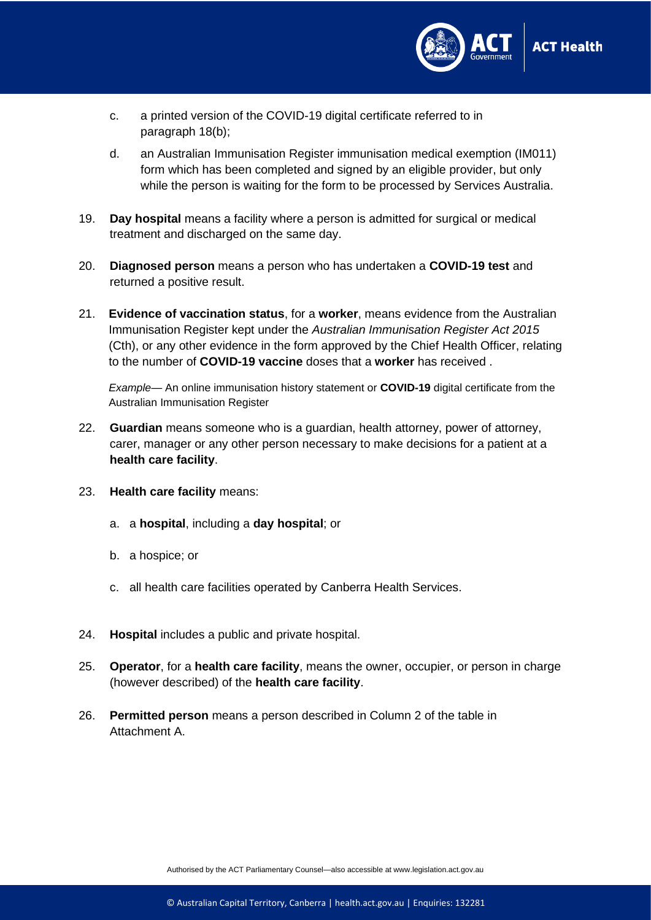

- c. a printed version of the COVID-19 digital certificate referred to in paragraph 18(b);
- d. an Australian Immunisation Register immunisation medical exemption (IM011) form which has been completed and signed by an eligible provider, but only while the person is waiting for the form to be processed by Services Australia.
- 19. **Day hospital** means a facility where a person is admitted for surgical or medical treatment and discharged on the same day.
- 20. **Diagnosed person** means a person who has undertaken a **COVID-19 test** and returned a positive result.
- 21. **Evidence of vaccination status**, for a **worker**, means evidence from the Australian Immunisation Register kept under the *Australian Immunisation Register Act 2015* (Cth), or any other evidence in the form approved by the Chief Health Officer, relating to the number of **COVID-19 vaccine** doses that a **worker** has received .

*Example*— An online immunisation history statement or **COVID-19** digital certificate from the Australian Immunisation Register

- 22. **Guardian** means someone who is a guardian, health attorney, power of attorney, carer, manager or any other person necessary to make decisions for a patient at a **health care facility**.
- 23. **Health care facility** means:
	- a. a **hospital**, including a **day hospital**; or
	- b. a hospice; or
	- c. all health care facilities operated by Canberra Health Services.
- 24. **Hospital** includes a public and private hospital.
- 25. **Operator**, for a **health care facility**, means the owner, occupier, or person in charge (however described) of the **health care facility**.
- 26. **Permitted person** means a person described in Column 2 of the table in Attachment A.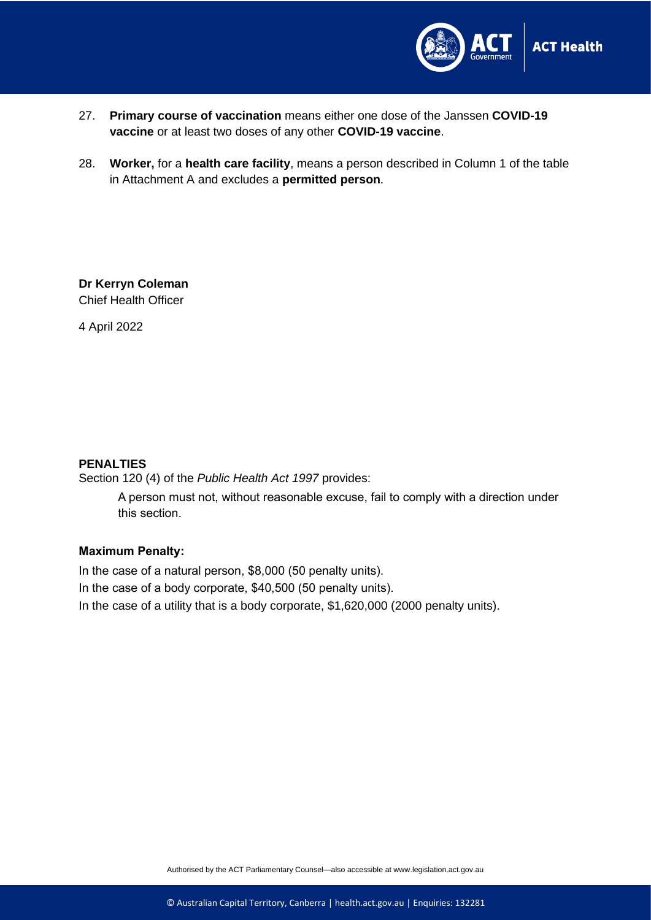

- 27. **Primary course of vaccination** means either one dose of the Janssen **COVID-19 vaccine** or at least two doses of any other **COVID-19 vaccine**.
- 28. **Worker,** for a **health care facility**, means a person described in Column 1 of the table in Attachment A and excludes a **permitted person**.

**Dr Kerryn Coleman** Chief Health Officer

4 April 2022

### **PENALTIES**

Section 120 (4) of the *Public Health Act 1997* provides:

A person must not, without reasonable excuse, fail to comply with a direction under this section.

### **Maximum Penalty:**

In the case of a natural person, \$8,000 (50 penalty units). In the case of a body corporate, \$40,500 (50 penalty units). In the case of a utility that is a body corporate, \$1,620,000 (2000 penalty units).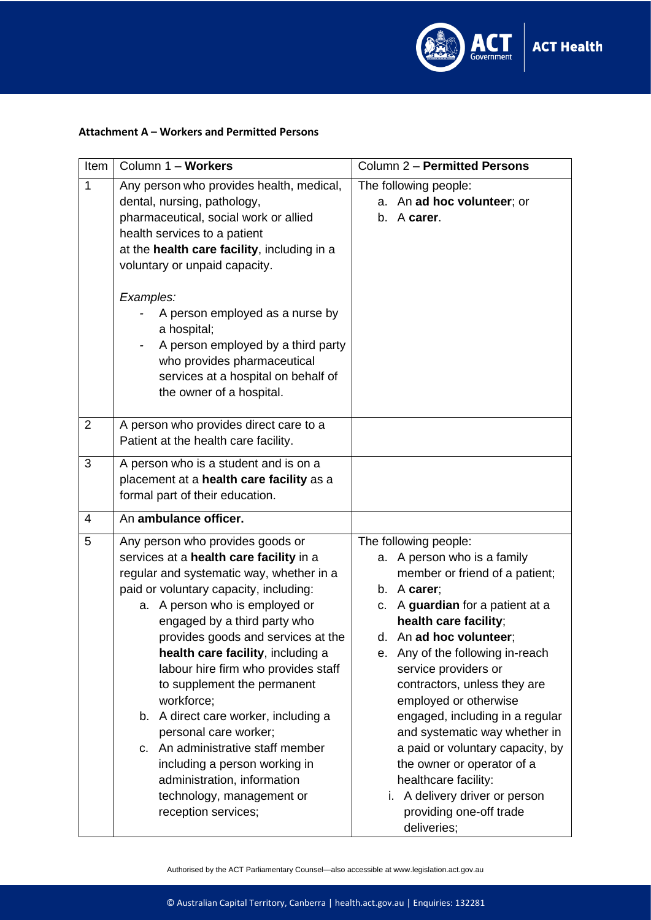

### **Attachment A – Workers and Permitted Persons**

| Item           | Column 1 - Workers                                                                                                                                                                                                                                                                                                                                                                                                                                                                                                                                                                                                              | Column 2 - Permitted Persons                                                                                                                                                                                                                                                                                                                                                                                                                                                                                                                                    |  |
|----------------|---------------------------------------------------------------------------------------------------------------------------------------------------------------------------------------------------------------------------------------------------------------------------------------------------------------------------------------------------------------------------------------------------------------------------------------------------------------------------------------------------------------------------------------------------------------------------------------------------------------------------------|-----------------------------------------------------------------------------------------------------------------------------------------------------------------------------------------------------------------------------------------------------------------------------------------------------------------------------------------------------------------------------------------------------------------------------------------------------------------------------------------------------------------------------------------------------------------|--|
| $\mathbf{1}$   | Any person who provides health, medical,<br>dental, nursing, pathology,<br>pharmaceutical, social work or allied<br>health services to a patient<br>at the health care facility, including in a<br>voluntary or unpaid capacity.                                                                                                                                                                                                                                                                                                                                                                                                | The following people:<br>a. An ad hoc volunteer; or<br>b. A carer.                                                                                                                                                                                                                                                                                                                                                                                                                                                                                              |  |
|                | Examples:<br>A person employed as a nurse by<br>a hospital;<br>A person employed by a third party<br>who provides pharmaceutical<br>services at a hospital on behalf of<br>the owner of a hospital.                                                                                                                                                                                                                                                                                                                                                                                                                             |                                                                                                                                                                                                                                                                                                                                                                                                                                                                                                                                                                 |  |
| $\overline{2}$ | A person who provides direct care to a<br>Patient at the health care facility.                                                                                                                                                                                                                                                                                                                                                                                                                                                                                                                                                  |                                                                                                                                                                                                                                                                                                                                                                                                                                                                                                                                                                 |  |
| 3              | A person who is a student and is on a<br>placement at a health care facility as a<br>formal part of their education.                                                                                                                                                                                                                                                                                                                                                                                                                                                                                                            |                                                                                                                                                                                                                                                                                                                                                                                                                                                                                                                                                                 |  |
| 4              | An ambulance officer.                                                                                                                                                                                                                                                                                                                                                                                                                                                                                                                                                                                                           |                                                                                                                                                                                                                                                                                                                                                                                                                                                                                                                                                                 |  |
| 5              | Any person who provides goods or<br>services at a health care facility in a<br>regular and systematic way, whether in a<br>paid or voluntary capacity, including:<br>a. A person who is employed or<br>engaged by a third party who<br>provides goods and services at the<br>health care facility, including a<br>labour hire firm who provides staff<br>to supplement the permanent<br>workforce;<br>b. A direct care worker, including a<br>personal care worker;<br>An administrative staff member<br>c.<br>including a person working in<br>administration, information<br>technology, management or<br>reception services; | The following people:<br>a. A person who is a family<br>member or friend of a patient;<br>b. A carer;<br>c. A guardian for a patient at a<br>health care facility;<br>d. An ad hoc volunteer;<br>Any of the following in-reach<br>е.<br>service providers or<br>contractors, unless they are<br>employed or otherwise<br>engaged, including in a regular<br>and systematic way whether in<br>a paid or voluntary capacity, by<br>the owner or operator of a<br>healthcare facility:<br>i. A delivery driver or person<br>providing one-off trade<br>deliveries; |  |